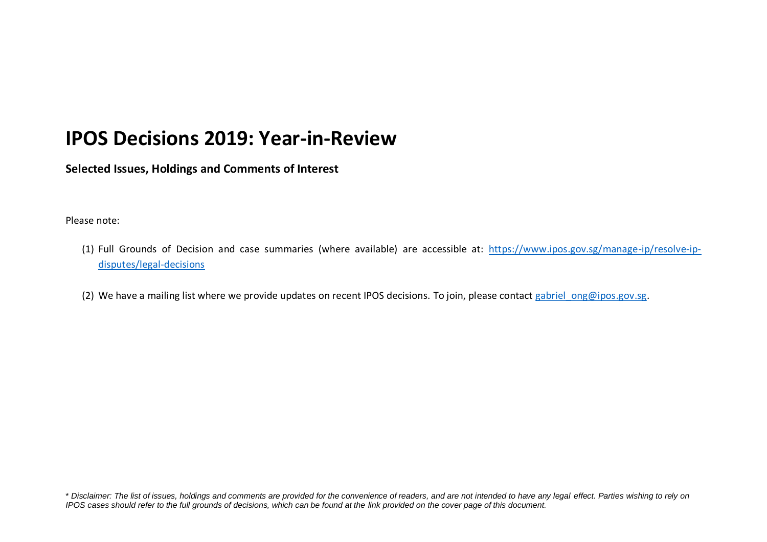## **IPOS Decisions 2019: Year-in-Review**

**Selected Issues, Holdings and Comments of Interest**

## Please note:

- (1) Full Grounds of Decision and case summaries (where available) are accessible at: [https://www.ipos.gov.sg/manage-ip/resolve-ip](https://www.ipos.gov.sg/manage-ip/resolve-ip-disputes/legal-decisions)[disputes/legal-decisions](https://www.ipos.gov.sg/manage-ip/resolve-ip-disputes/legal-decisions)
- (2) We have a mailing list where we provide updates on recent IPOS decisions. To join, please contact gabriel ong@ipos.gov.sg.

<sup>\*</sup> *Disclaimer: The list of issues, holdings and comments are provided for the convenience of readers, and are not intended to have any legal effect. Parties wishing to rely on IPOS cases should refer to the full grounds of decisions, which can be found at the link provided on the cover page of this document.*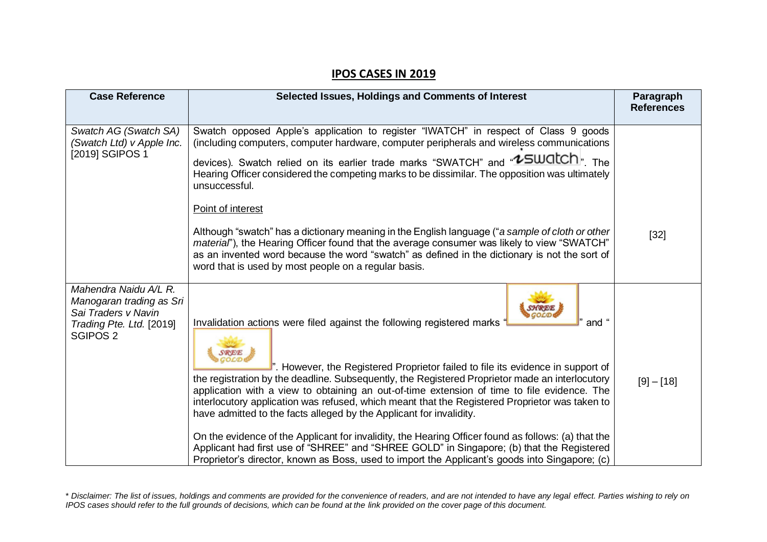## **IPOS CASES IN 2019**

| <b>Case Reference</b>                                                                                                       | Selected Issues, Holdings and Comments of Interest                                                                                                                                                                                                                                                                                                                                                                                                                                                                                                                                                                                                                                                                                                                                                                                                    | Paragraph<br><b>References</b> |
|-----------------------------------------------------------------------------------------------------------------------------|-------------------------------------------------------------------------------------------------------------------------------------------------------------------------------------------------------------------------------------------------------------------------------------------------------------------------------------------------------------------------------------------------------------------------------------------------------------------------------------------------------------------------------------------------------------------------------------------------------------------------------------------------------------------------------------------------------------------------------------------------------------------------------------------------------------------------------------------------------|--------------------------------|
| Swatch AG (Swatch SA)<br>(Swatch Ltd) v Apple Inc.<br>[2019] SGIPOS 1                                                       | Swatch opposed Apple's application to register "IWATCH" in respect of Class 9 goods<br>(including computers, computer hardware, computer peripherals and wireless communications<br>devices). Swatch relied on its earlier trade marks "SWATCH" and "LOUCICH". The<br>Hearing Officer considered the competing marks to be dissimilar. The opposition was ultimately<br>unsuccessful.<br>Point of interest<br>Although "swatch" has a dictionary meaning in the English language ("a sample of cloth or other<br>material"), the Hearing Officer found that the average consumer was likely to view "SWATCH"<br>as an invented word because the word "swatch" as defined in the dictionary is not the sort of<br>word that is used by most people on a regular basis.                                                                                 | $[32]$                         |
| Mahendra Naidu A/L R.<br>Manogaran trading as Sri<br>Sai Traders v Navin<br>Trading Pte. Ltd. [2019]<br>SGIPOS <sub>2</sub> | Invalidation actions were filed against the following registered marks '<br>and "<br>". However, the Registered Proprietor failed to file its evidence in support of<br>the registration by the deadline. Subsequently, the Registered Proprietor made an interlocutory<br>application with a view to obtaining an out-of-time extension of time to file evidence. The<br>interlocutory application was refused, which meant that the Registered Proprietor was taken to<br>have admitted to the facts alleged by the Applicant for invalidity.<br>On the evidence of the Applicant for invalidity, the Hearing Officer found as follows: (a) that the<br>Applicant had first use of "SHREE" and "SHREE GOLD" in Singapore; (b) that the Registered<br>Proprietor's director, known as Boss, used to import the Applicant's goods into Singapore; (c) | $[9] - [18]$                   |

<sup>\*</sup> *Disclaimer: The list of issues, holdings and comments are provided for the convenience of readers, and are not intended to have any legal effect. Parties wishing to rely on IPOS cases should refer to the full grounds of decisions, which can be found at the link provided on the cover page of this document.*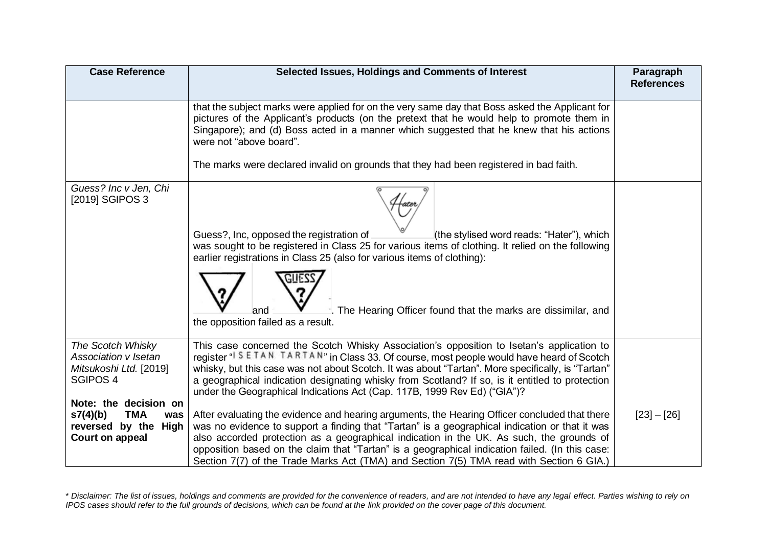| <b>Case Reference</b>                                                                             | Selected Issues, Holdings and Comments of Interest                                                                                                                                                                                                                                                                                                                                                                                                                                         | Paragraph<br><b>References</b> |
|---------------------------------------------------------------------------------------------------|--------------------------------------------------------------------------------------------------------------------------------------------------------------------------------------------------------------------------------------------------------------------------------------------------------------------------------------------------------------------------------------------------------------------------------------------------------------------------------------------|--------------------------------|
|                                                                                                   | that the subject marks were applied for on the very same day that Boss asked the Applicant for<br>pictures of the Applicant's products (on the pretext that he would help to promote them in<br>Singapore); and (d) Boss acted in a manner which suggested that he knew that his actions<br>were not "above board".                                                                                                                                                                        |                                |
|                                                                                                   | The marks were declared invalid on grounds that they had been registered in bad faith.                                                                                                                                                                                                                                                                                                                                                                                                     |                                |
| Guess? Inc v Jen, Chi<br>[2019] SGIPOS 3                                                          | Guess?, Inc, opposed the registration of<br>(the stylised word reads: "Hater"), which<br>was sought to be registered in Class 25 for various items of clothing. It relied on the following<br>earlier registrations in Class 25 (also for various items of clothing):<br>The Hearing Officer found that the marks are dissimilar, and<br>and<br>the opposition failed as a result.                                                                                                         |                                |
| The Scotch Whisky<br>Association v Isetan<br>Mitsukoshi Ltd. [2019]<br>SGIPOS <sub>4</sub>        | This case concerned the Scotch Whisky Association's opposition to Isetan's application to<br>register "I S E TAN TARTAN" in Class 33. Of course, most people would have heard of Scotch<br>whisky, but this case was not about Scotch. It was about "Tartan". More specifically, is "Tartan"<br>a geographical indication designating whisky from Scotland? If so, is it entitled to protection<br>under the Geographical Indications Act (Cap. 117B, 1999 Rev Ed) ("GIA")?                |                                |
| Note: the decision on<br>s7(4)(b)<br><b>TMA</b><br>was<br>reversed by the High<br>Court on appeal | After evaluating the evidence and hearing arguments, the Hearing Officer concluded that there<br>was no evidence to support a finding that "Tartan" is a geographical indication or that it was<br>also accorded protection as a geographical indication in the UK. As such, the grounds of<br>opposition based on the claim that "Tartan" is a geographical indication failed. (In this case:<br>Section 7(7) of the Trade Marks Act (TMA) and Section 7(5) TMA read with Section 6 GIA.) | $[23] - [26]$                  |

<sup>\*</sup> *Disclaimer: The list of issues, holdings and comments are provided for the convenience of readers, and are not intended to have any legal effect. Parties wishing to rely on IPOS cases should refer to the full grounds of decisions, which can be found at the link provided on the cover page of this document.*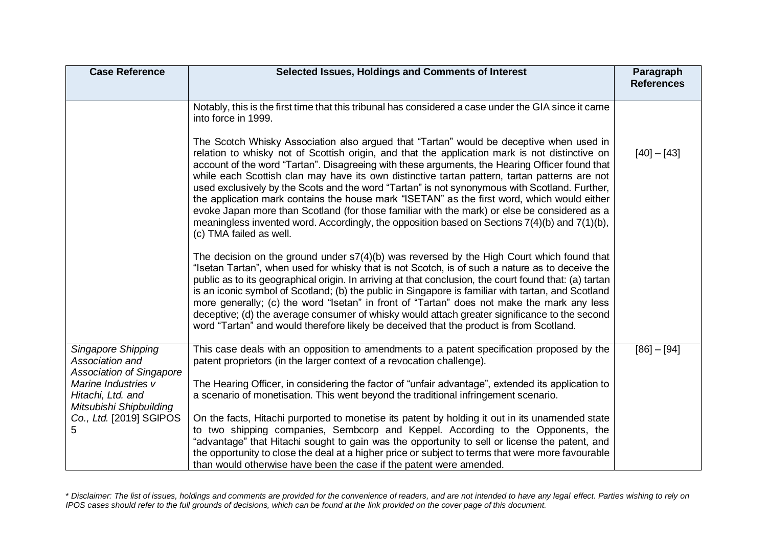| <b>Case Reference</b>                                                    | Selected Issues, Holdings and Comments of Interest                                                                                                                                                                                                                                                                                                                                                                                                                                                                                                                                                                                                                                                                                                                                                                            | Paragraph<br><b>References</b> |
|--------------------------------------------------------------------------|-------------------------------------------------------------------------------------------------------------------------------------------------------------------------------------------------------------------------------------------------------------------------------------------------------------------------------------------------------------------------------------------------------------------------------------------------------------------------------------------------------------------------------------------------------------------------------------------------------------------------------------------------------------------------------------------------------------------------------------------------------------------------------------------------------------------------------|--------------------------------|
|                                                                          | Notably, this is the first time that this tribunal has considered a case under the GIA since it came<br>into force in 1999.                                                                                                                                                                                                                                                                                                                                                                                                                                                                                                                                                                                                                                                                                                   |                                |
|                                                                          | The Scotch Whisky Association also argued that "Tartan" would be deceptive when used in<br>relation to whisky not of Scottish origin, and that the application mark is not distinctive on<br>account of the word "Tartan". Disagreeing with these arguments, the Hearing Officer found that<br>while each Scottish clan may have its own distinctive tartan pattern, tartan patterns are not<br>used exclusively by the Scots and the word "Tartan" is not synonymous with Scotland. Further,<br>the application mark contains the house mark "ISETAN" as the first word, which would either<br>evoke Japan more than Scotland (for those familiar with the mark) or else be considered as a<br>meaningless invented word. Accordingly, the opposition based on Sections $7(4)(b)$ and $7(1)(b)$ ,<br>(c) TMA failed as well. | $[40] - [43]$                  |
|                                                                          | The decision on the ground under $s7(4)(b)$ was reversed by the High Court which found that<br>"Isetan Tartan", when used for whisky that is not Scotch, is of such a nature as to deceive the<br>public as to its geographical origin. In arriving at that conclusion, the court found that: (a) tartan<br>is an iconic symbol of Scotland; (b) the public in Singapore is familiar with tartan, and Scotland<br>more generally; (c) the word "Isetan" in front of "Tartan" does not make the mark any less<br>deceptive; (d) the average consumer of whisky would attach greater significance to the second<br>word "Tartan" and would therefore likely be deceived that the product is from Scotland.                                                                                                                      |                                |
| Singapore Shipping<br>Association and<br><b>Association of Singapore</b> | This case deals with an opposition to amendments to a patent specification proposed by the<br>patent proprietors (in the larger context of a revocation challenge).                                                                                                                                                                                                                                                                                                                                                                                                                                                                                                                                                                                                                                                           | $[86] - [94]$                  |
| Marine Industries v<br>Hitachi, Ltd. and<br>Mitsubishi Shipbuilding      | The Hearing Officer, in considering the factor of "unfair advantage", extended its application to<br>a scenario of monetisation. This went beyond the traditional infringement scenario.                                                                                                                                                                                                                                                                                                                                                                                                                                                                                                                                                                                                                                      |                                |
| Co., Ltd. [2019] SGIPOS<br>5.                                            | On the facts, Hitachi purported to monetise its patent by holding it out in its unamended state<br>to two shipping companies, Sembcorp and Keppel. According to the Opponents, the<br>"advantage" that Hitachi sought to gain was the opportunity to sell or license the patent, and<br>the opportunity to close the deal at a higher price or subject to terms that were more favourable<br>than would otherwise have been the case if the patent were amended.                                                                                                                                                                                                                                                                                                                                                              |                                |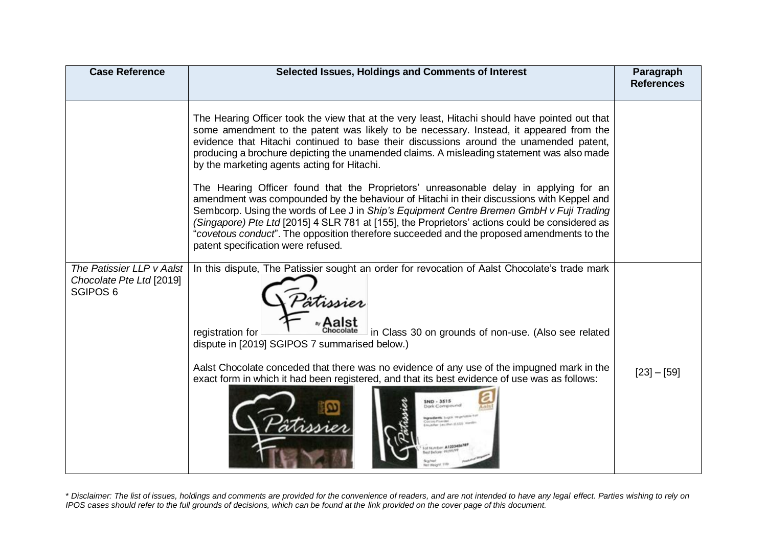| <b>Case Reference</b>                                                        | Selected Issues, Holdings and Comments of Interest                                                                                                                                                                                                                                                                                                                                                                                                                                                                                                                                                                                                                                                                                                                                                                                                                                                                                                    | Paragraph<br><b>References</b> |
|------------------------------------------------------------------------------|-------------------------------------------------------------------------------------------------------------------------------------------------------------------------------------------------------------------------------------------------------------------------------------------------------------------------------------------------------------------------------------------------------------------------------------------------------------------------------------------------------------------------------------------------------------------------------------------------------------------------------------------------------------------------------------------------------------------------------------------------------------------------------------------------------------------------------------------------------------------------------------------------------------------------------------------------------|--------------------------------|
|                                                                              | The Hearing Officer took the view that at the very least, Hitachi should have pointed out that<br>some amendment to the patent was likely to be necessary. Instead, it appeared from the<br>evidence that Hitachi continued to base their discussions around the unamended patent,<br>producing a brochure depicting the unamended claims. A misleading statement was also made<br>by the marketing agents acting for Hitachi.<br>The Hearing Officer found that the Proprietors' unreasonable delay in applying for an<br>amendment was compounded by the behaviour of Hitachi in their discussions with Keppel and<br>Sembcorp. Using the words of Lee J in Ship's Equipment Centre Bremen GmbH v Fuji Trading<br>(Singapore) Pte Ltd [2015] 4 SLR 781 at [155], the Proprietors' actions could be considered as<br>"covetous conduct". The opposition therefore succeeded and the proposed amendments to the<br>patent specification were refused. |                                |
| The Patissier LLP v Aalst<br>Chocolate Pte Ltd [2019]<br>SGIPOS <sub>6</sub> | In this dispute, The Patissier sought an order for revocation of Aalst Chocolate's trade mark<br>tissier<br>in Class 30 on grounds of non-use. (Also see related<br>registration for<br>dispute in [2019] SGIPOS 7 summarised below.)<br>Aalst Chocolate conceded that there was no evidence of any use of the impugned mark in the<br>exact form in which it had been registered, and that its best evidence of use was as follows:<br>ND - 3515<br>of Number: A122345478<br>d Bachman                                                                                                                                                                                                                                                                                                                                                                                                                                                               | $[23] - [59]$                  |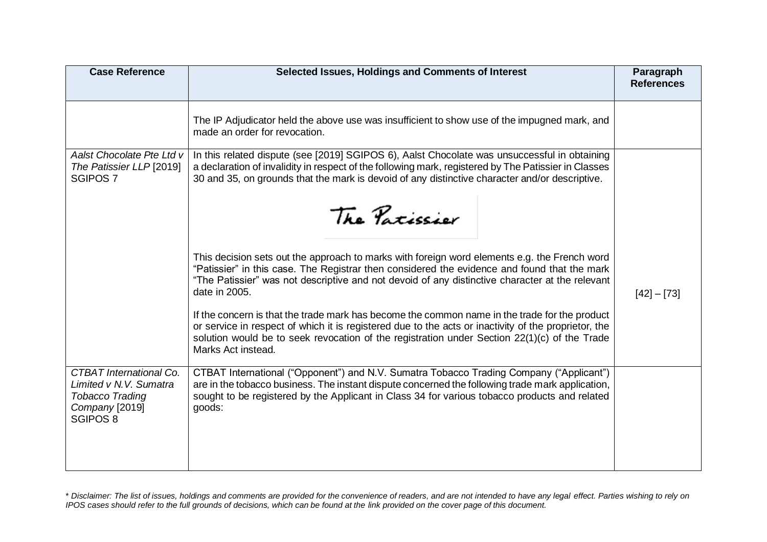| <b>Case Reference</b>                                                                                            | Selected Issues, Holdings and Comments of Interest                                                                                                                                                                                                                                                                                                                                                                                                                                                                                                                                                                                              | Paragraph<br><b>References</b> |
|------------------------------------------------------------------------------------------------------------------|-------------------------------------------------------------------------------------------------------------------------------------------------------------------------------------------------------------------------------------------------------------------------------------------------------------------------------------------------------------------------------------------------------------------------------------------------------------------------------------------------------------------------------------------------------------------------------------------------------------------------------------------------|--------------------------------|
|                                                                                                                  | The IP Adjudicator held the above use was insufficient to show use of the impugned mark, and<br>made an order for revocation.                                                                                                                                                                                                                                                                                                                                                                                                                                                                                                                   |                                |
| Aalst Chocolate Pte Ltd v<br>The Patissier LLP [2019]<br><b>SGIPOS 7</b>                                         | In this related dispute (see [2019] SGIPOS 6), Aalst Chocolate was unsuccessful in obtaining<br>a declaration of invalidity in respect of the following mark, registered by The Patissier in Classes<br>30 and 35, on grounds that the mark is devoid of any distinctive character and/or descriptive.<br>The Patissier                                                                                                                                                                                                                                                                                                                         |                                |
|                                                                                                                  | This decision sets out the approach to marks with foreign word elements e.g. the French word<br>"Patissier" in this case. The Registrar then considered the evidence and found that the mark<br>"The Patissier" was not descriptive and not devoid of any distinctive character at the relevant<br>date in 2005.<br>If the concern is that the trade mark has become the common name in the trade for the product<br>or service in respect of which it is registered due to the acts or inactivity of the proprietor, the<br>solution would be to seek revocation of the registration under Section 22(1)(c) of the Trade<br>Marks Act instead. | $[42] - [73]$                  |
| <b>CTBAT International Co.</b><br>Limited v N.V. Sumatra<br><b>Tobacco Trading</b><br>Company [2019]<br>SGIPOS 8 | CTBAT International ("Opponent") and N.V. Sumatra Tobacco Trading Company ("Applicant")<br>are in the tobacco business. The instant dispute concerned the following trade mark application,<br>sought to be registered by the Applicant in Class 34 for various tobacco products and related<br>goods:                                                                                                                                                                                                                                                                                                                                          |                                |

<sup>\*</sup> *Disclaimer: The list of issues, holdings and comments are provided for the convenience of readers, and are not intended to have any legal effect. Parties wishing to rely on IPOS cases should refer to the full grounds of decisions, which can be found at the link provided on the cover page of this document.*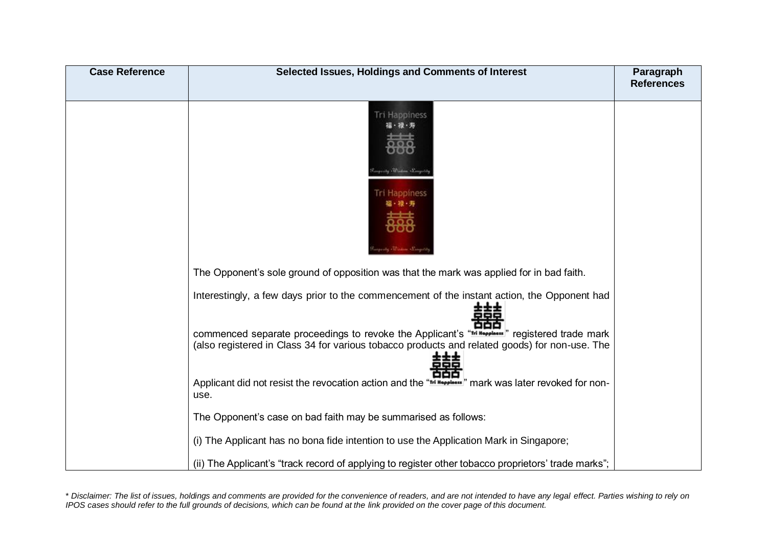| <b>Case Reference</b> | Selected Issues, Holdings and Comments of Interest                                                                                                                                            | Paragraph<br><b>References</b> |
|-----------------------|-----------------------------------------------------------------------------------------------------------------------------------------------------------------------------------------------|--------------------------------|
|                       | <b>Tri Happiness</b><br>福・禄・寿<br>ily Thurlow Prays<br><b>Tri Happiness</b><br>福・禄 寿<br><b><i>Chairman Composition</i></b>                                                                     |                                |
|                       | The Opponent's sole ground of opposition was that the mark was applied for in bad faith.                                                                                                      |                                |
|                       | Interestingly, a few days prior to the commencement of the instant action, the Opponent had                                                                                                   |                                |
|                       | commenced separate proceedings to revoke the Applicant's "In Happless" registered trade mark<br>(also registered in Class 34 for various tobacco products and related goods) for non-use. The |                                |
|                       | Applicant did not resist the revocation action and the "Trl Hoppless"" mark was later revoked for non-<br>use.                                                                                |                                |
|                       | The Opponent's case on bad faith may be summarised as follows:                                                                                                                                |                                |
|                       | (i) The Applicant has no bona fide intention to use the Application Mark in Singapore;                                                                                                        |                                |
|                       | (ii) The Applicant's "track record of applying to register other tobacco proprietors' trade marks";                                                                                           |                                |

<sup>\*</sup> *Disclaimer: The list of issues, holdings and comments are provided for the convenience of readers, and are not intended to have any legal effect. Parties wishing to rely on IPOS cases should refer to the full grounds of decisions, which can be found at the link provided on the cover page of this document.*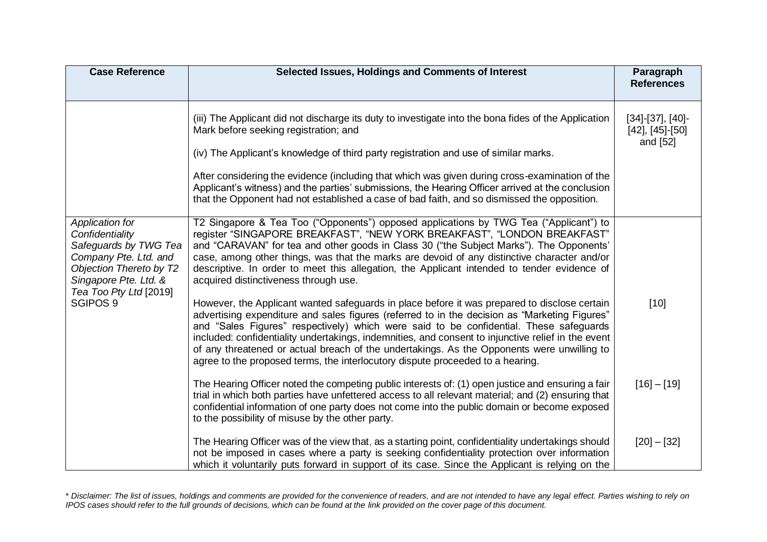| <b>Case Reference</b>                                                                                                                                                                     | Selected Issues, Holdings and Comments of Interest                                                                                                                                                                                                                                                                                                                                                                                                                                                                                                                            | Paragraph<br><b>References</b>                             |
|-------------------------------------------------------------------------------------------------------------------------------------------------------------------------------------------|-------------------------------------------------------------------------------------------------------------------------------------------------------------------------------------------------------------------------------------------------------------------------------------------------------------------------------------------------------------------------------------------------------------------------------------------------------------------------------------------------------------------------------------------------------------------------------|------------------------------------------------------------|
|                                                                                                                                                                                           | (iii) The Applicant did not discharge its duty to investigate into the bona fides of the Application<br>Mark before seeking registration; and<br>(iv) The Applicant's knowledge of third party registration and use of similar marks.                                                                                                                                                                                                                                                                                                                                         | $[34]-[37], [40]-$<br>$[42]$ , $[45]$ - $[50]$<br>and [52] |
|                                                                                                                                                                                           | After considering the evidence (including that which was given during cross-examination of the<br>Applicant's witness) and the parties' submissions, the Hearing Officer arrived at the conclusion<br>that the Opponent had not established a case of bad faith, and so dismissed the opposition.                                                                                                                                                                                                                                                                             |                                                            |
| Application for<br>Confidentiality<br>Safeguards by TWG Tea<br>Company Pte. Ltd. and<br>Objection Thereto by T2<br>Singapore Pte. Ltd. &<br>Tea Too Pty Ltd [2019]<br>SGIPOS <sub>9</sub> | T2 Singapore & Tea Too ("Opponents") opposed applications by TWG Tea ("Applicant") to<br>register "SINGAPORE BREAKFAST", "NEW YORK BREAKFAST", "LONDON BREAKFAST"<br>and "CARAVAN" for tea and other goods in Class 30 ("the Subject Marks"). The Opponents'<br>case, among other things, was that the marks are devoid of any distinctive character and/or<br>descriptive. In order to meet this allegation, the Applicant intended to tender evidence of<br>acquired distinctiveness through use.                                                                           |                                                            |
|                                                                                                                                                                                           | However, the Applicant wanted safeguards in place before it was prepared to disclose certain<br>advertising expenditure and sales figures (referred to in the decision as "Marketing Figures"<br>and "Sales Figures" respectively) which were said to be confidential. These safeguards<br>included: confidentiality undertakings, indemnities, and consent to injunctive relief in the event<br>of any threatened or actual breach of the undertakings. As the Opponents were unwilling to<br>agree to the proposed terms, the interlocutory dispute proceeded to a hearing. | $[10]$                                                     |
|                                                                                                                                                                                           | The Hearing Officer noted the competing public interests of: (1) open justice and ensuring a fair<br>trial in which both parties have unfettered access to all relevant material; and (2) ensuring that<br>confidential information of one party does not come into the public domain or become exposed<br>to the possibility of misuse by the other party.                                                                                                                                                                                                                   | $[16] - [19]$                                              |
|                                                                                                                                                                                           | The Hearing Officer was of the view that, as a starting point, confidentiality undertakings should<br>not be imposed in cases where a party is seeking confidentiality protection over information<br>which it voluntarily puts forward in support of its case. Since the Applicant is relying on the                                                                                                                                                                                                                                                                         | $[20] - [32]$                                              |

<sup>\*</sup> *Disclaimer: The list of issues, holdings and comments are provided for the convenience of readers, and are not intended to have any legal effect. Parties wishing to rely on IPOS cases should refer to the full grounds of decisions, which can be found at the link provided on the cover page of this document.*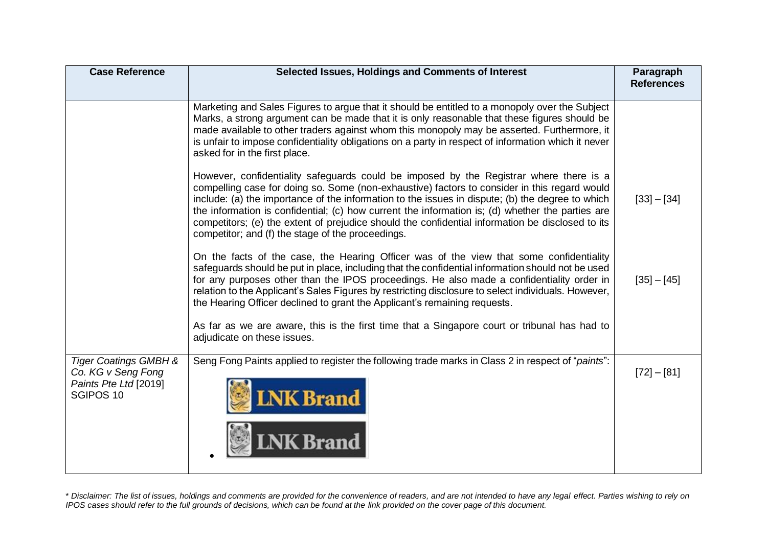| <b>Case Reference</b>                                                                                   | Selected Issues, Holdings and Comments of Interest                                                                                                                                                                                                                                                                                                                                                                                                                                                                                                      | Paragraph<br><b>References</b> |
|---------------------------------------------------------------------------------------------------------|---------------------------------------------------------------------------------------------------------------------------------------------------------------------------------------------------------------------------------------------------------------------------------------------------------------------------------------------------------------------------------------------------------------------------------------------------------------------------------------------------------------------------------------------------------|--------------------------------|
|                                                                                                         | Marketing and Sales Figures to argue that it should be entitled to a monopoly over the Subject<br>Marks, a strong argument can be made that it is only reasonable that these figures should be<br>made available to other traders against whom this monopoly may be asserted. Furthermore, it<br>is unfair to impose confidentiality obligations on a party in respect of information which it never<br>asked for in the first place.                                                                                                                   |                                |
|                                                                                                         | However, confidentiality safeguards could be imposed by the Registrar where there is a<br>compelling case for doing so. Some (non-exhaustive) factors to consider in this regard would<br>include: (a) the importance of the information to the issues in dispute; (b) the degree to which<br>the information is confidential; (c) how current the information is; (d) whether the parties are<br>competitors; (e) the extent of prejudice should the confidential information be disclosed to its<br>competitor; and (f) the stage of the proceedings. | $[33] - [34]$                  |
|                                                                                                         | On the facts of the case, the Hearing Officer was of the view that some confidentiality<br>safeguards should be put in place, including that the confidential information should not be used<br>for any purposes other than the IPOS proceedings. He also made a confidentiality order in<br>relation to the Applicant's Sales Figures by restricting disclosure to select individuals. However,<br>the Hearing Officer declined to grant the Applicant's remaining requests.                                                                           | $[35] - [45]$                  |
|                                                                                                         | As far as we are aware, this is the first time that a Singapore court or tribunal has had to<br>adjudicate on these issues.                                                                                                                                                                                                                                                                                                                                                                                                                             |                                |
| <b>Tiger Coatings GMBH &amp;</b><br>Co. KG v Seng Fong<br>Paints Pte Ltd [2019]<br>SGIPOS <sub>10</sub> | Seng Fong Paints applied to register the following trade marks in Class 2 in respect of "paints":<br><b>LNK Brand</b><br><b>LNK Brand</b>                                                                                                                                                                                                                                                                                                                                                                                                               | $[72] - [81]$                  |
|                                                                                                         |                                                                                                                                                                                                                                                                                                                                                                                                                                                                                                                                                         |                                |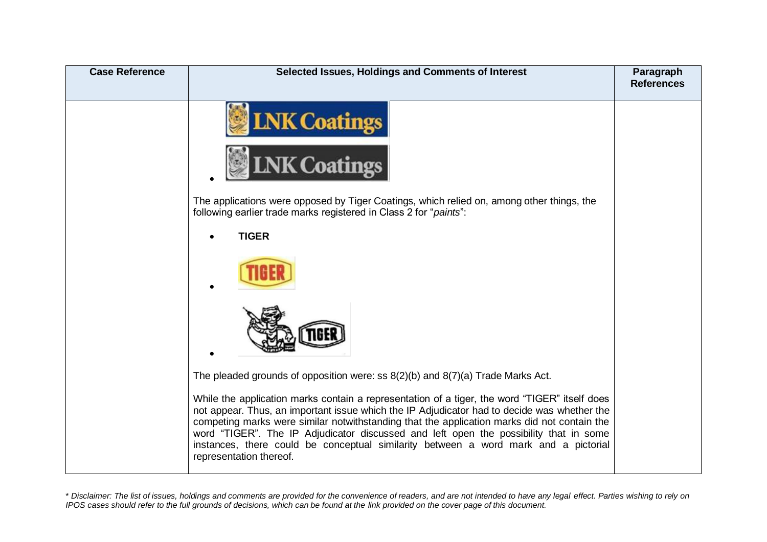| <b>Case Reference</b> | Selected Issues, Holdings and Comments of Interest                                                                                                                                                                                                                                                                                                                                                                                                                                                     | Paragraph<br><b>References</b> |
|-----------------------|--------------------------------------------------------------------------------------------------------------------------------------------------------------------------------------------------------------------------------------------------------------------------------------------------------------------------------------------------------------------------------------------------------------------------------------------------------------------------------------------------------|--------------------------------|
|                       | <b>LNK Coatings</b>                                                                                                                                                                                                                                                                                                                                                                                                                                                                                    |                                |
|                       | <b>NK Coatings</b>                                                                                                                                                                                                                                                                                                                                                                                                                                                                                     |                                |
|                       | The applications were opposed by Tiger Coatings, which relied on, among other things, the<br>following earlier trade marks registered in Class 2 for "paints":                                                                                                                                                                                                                                                                                                                                         |                                |
|                       | <b>TIGER</b>                                                                                                                                                                                                                                                                                                                                                                                                                                                                                           |                                |
|                       |                                                                                                                                                                                                                                                                                                                                                                                                                                                                                                        |                                |
|                       |                                                                                                                                                                                                                                                                                                                                                                                                                                                                                                        |                                |
|                       | The pleaded grounds of opposition were: ss $8(2)(b)$ and $8(7)(a)$ Trade Marks Act.                                                                                                                                                                                                                                                                                                                                                                                                                    |                                |
|                       | While the application marks contain a representation of a tiger, the word "TIGER" itself does<br>not appear. Thus, an important issue which the IP Adjudicator had to decide was whether the<br>competing marks were similar notwithstanding that the application marks did not contain the<br>word "TIGER". The IP Adjudicator discussed and left open the possibility that in some<br>instances, there could be conceptual similarity between a word mark and a pictorial<br>representation thereof. |                                |

<sup>\*</sup> *Disclaimer: The list of issues, holdings and comments are provided for the convenience of readers, and are not intended to have any legal effect. Parties wishing to rely on IPOS cases should refer to the full grounds of decisions, which can be found at the link provided on the cover page of this document.*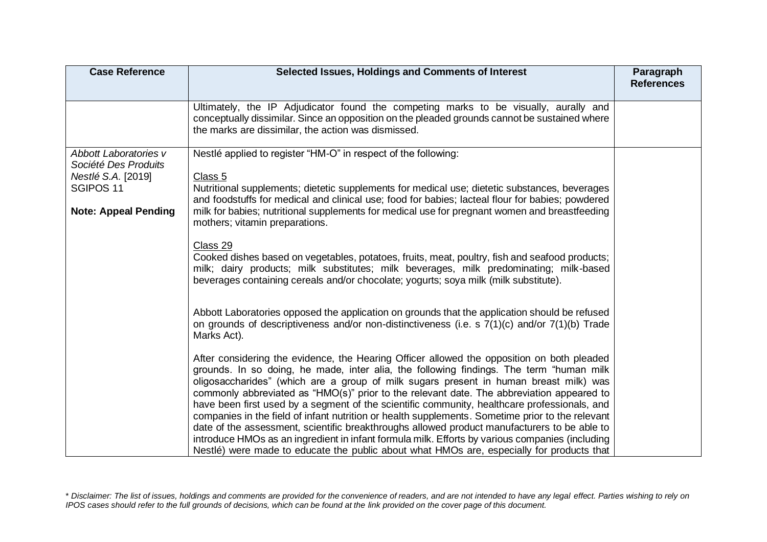| <b>Case Reference</b>                                                                                                      | Selected Issues, Holdings and Comments of Interest                                                                                                                                                                                                                                                                                                                                                                                                                                                                                                                                                                                                                                                                                                                                                                                                                              | Paragraph<br><b>References</b> |
|----------------------------------------------------------------------------------------------------------------------------|---------------------------------------------------------------------------------------------------------------------------------------------------------------------------------------------------------------------------------------------------------------------------------------------------------------------------------------------------------------------------------------------------------------------------------------------------------------------------------------------------------------------------------------------------------------------------------------------------------------------------------------------------------------------------------------------------------------------------------------------------------------------------------------------------------------------------------------------------------------------------------|--------------------------------|
|                                                                                                                            | Ultimately, the IP Adjudicator found the competing marks to be visually, aurally and<br>conceptually dissimilar. Since an opposition on the pleaded grounds cannot be sustained where<br>the marks are dissimilar, the action was dismissed.                                                                                                                                                                                                                                                                                                                                                                                                                                                                                                                                                                                                                                    |                                |
| Abbott Laboratories v<br>Société Des Produits<br>Nestlé S.A. [2019]<br>SGIPOS <sub>11</sub><br><b>Note: Appeal Pending</b> | Nestlé applied to register "HM-O" in respect of the following:<br>Class 5<br>Nutritional supplements; dietetic supplements for medical use; dietetic substances, beverages<br>and foodstuffs for medical and clinical use; food for babies; lacteal flour for babies; powdered<br>milk for babies; nutritional supplements for medical use for pregnant women and breastfeeding<br>mothers; vitamin preparations.                                                                                                                                                                                                                                                                                                                                                                                                                                                               |                                |
|                                                                                                                            | Class 29<br>Cooked dishes based on vegetables, potatoes, fruits, meat, poultry, fish and seafood products;<br>milk; dairy products; milk substitutes; milk beverages, milk predominating; milk-based<br>beverages containing cereals and/or chocolate; yogurts; soya milk (milk substitute).                                                                                                                                                                                                                                                                                                                                                                                                                                                                                                                                                                                    |                                |
|                                                                                                                            | Abbott Laboratories opposed the application on grounds that the application should be refused<br>on grounds of descriptiveness and/or non-distinctiveness (i.e. s 7(1)(c) and/or 7(1)(b) Trade<br>Marks Act).                                                                                                                                                                                                                                                                                                                                                                                                                                                                                                                                                                                                                                                                   |                                |
|                                                                                                                            | After considering the evidence, the Hearing Officer allowed the opposition on both pleaded<br>grounds. In so doing, he made, inter alia, the following findings. The term "human milk<br>oligosaccharides" (which are a group of milk sugars present in human breast milk) was<br>commonly abbreviated as "HMO(s)" prior to the relevant date. The abbreviation appeared to<br>have been first used by a segment of the scientific community, healthcare professionals, and<br>companies in the field of infant nutrition or health supplements. Sometime prior to the relevant<br>date of the assessment, scientific breakthroughs allowed product manufacturers to be able to<br>introduce HMOs as an ingredient in infant formula milk. Efforts by various companies (including<br>Nestlé) were made to educate the public about what HMOs are, especially for products that |                                |

<sup>\*</sup> *Disclaimer: The list of issues, holdings and comments are provided for the convenience of readers, and are not intended to have any legal effect. Parties wishing to rely on IPOS cases should refer to the full grounds of decisions, which can be found at the link provided on the cover page of this document.*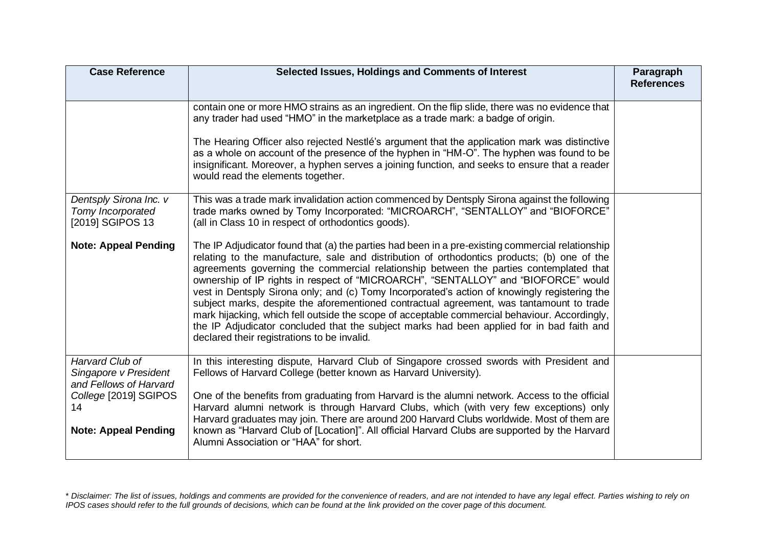| <b>Case Reference</b>                                              | Selected Issues, Holdings and Comments of Interest                                                                                                                                                                                                                                                                                                                                                                                                                                                                                                                                                                                                                                                                                                                                                                        | Paragraph<br><b>References</b> |
|--------------------------------------------------------------------|---------------------------------------------------------------------------------------------------------------------------------------------------------------------------------------------------------------------------------------------------------------------------------------------------------------------------------------------------------------------------------------------------------------------------------------------------------------------------------------------------------------------------------------------------------------------------------------------------------------------------------------------------------------------------------------------------------------------------------------------------------------------------------------------------------------------------|--------------------------------|
|                                                                    | contain one or more HMO strains as an ingredient. On the flip slide, there was no evidence that<br>any trader had used "HMO" in the marketplace as a trade mark: a badge of origin.                                                                                                                                                                                                                                                                                                                                                                                                                                                                                                                                                                                                                                       |                                |
|                                                                    | The Hearing Officer also rejected Nestlé's argument that the application mark was distinctive<br>as a whole on account of the presence of the hyphen in "HM-O". The hyphen was found to be<br>insignificant. Moreover, a hyphen serves a joining function, and seeks to ensure that a reader<br>would read the elements together.                                                                                                                                                                                                                                                                                                                                                                                                                                                                                         |                                |
| Dentsply Sirona Inc. v<br>Tomy Incorporated<br>[2019] SGIPOS 13    | This was a trade mark invalidation action commenced by Dentsply Sirona against the following<br>trade marks owned by Tomy Incorporated: "MICROARCH", "SENTALLOY" and "BIOFORCE"<br>(all in Class 10 in respect of orthodontics goods).                                                                                                                                                                                                                                                                                                                                                                                                                                                                                                                                                                                    |                                |
| <b>Note: Appeal Pending</b>                                        | The IP Adjudicator found that (a) the parties had been in a pre-existing commercial relationship<br>relating to the manufacture, sale and distribution of orthodontics products; (b) one of the<br>agreements governing the commercial relationship between the parties contemplated that<br>ownership of IP rights in respect of "MICROARCH", "SENTALLOY" and "BIOFORCE" would<br>vest in Dentsply Sirona only; and (c) Tomy Incorporated's action of knowingly registering the<br>subject marks, despite the aforementioned contractual agreement, was tantamount to trade<br>mark hijacking, which fell outside the scope of acceptable commercial behaviour. Accordingly,<br>the IP Adjudicator concluded that the subject marks had been applied for in bad faith and<br>declared their registrations to be invalid. |                                |
| Harvard Club of<br>Singapore v President<br>and Fellows of Harvard | In this interesting dispute, Harvard Club of Singapore crossed swords with President and<br>Fellows of Harvard College (better known as Harvard University).                                                                                                                                                                                                                                                                                                                                                                                                                                                                                                                                                                                                                                                              |                                |
| College [2019] SGIPOS<br>14                                        | One of the benefits from graduating from Harvard is the alumni network. Access to the official<br>Harvard alumni network is through Harvard Clubs, which (with very few exceptions) only<br>Harvard graduates may join. There are around 200 Harvard Clubs worldwide. Most of them are                                                                                                                                                                                                                                                                                                                                                                                                                                                                                                                                    |                                |
| <b>Note: Appeal Pending</b>                                        | known as "Harvard Club of [Location]". All official Harvard Clubs are supported by the Harvard<br>Alumni Association or "HAA" for short.                                                                                                                                                                                                                                                                                                                                                                                                                                                                                                                                                                                                                                                                                  |                                |

<sup>\*</sup> *Disclaimer: The list of issues, holdings and comments are provided for the convenience of readers, and are not intended to have any legal effect. Parties wishing to rely on IPOS cases should refer to the full grounds of decisions, which can be found at the link provided on the cover page of this document.*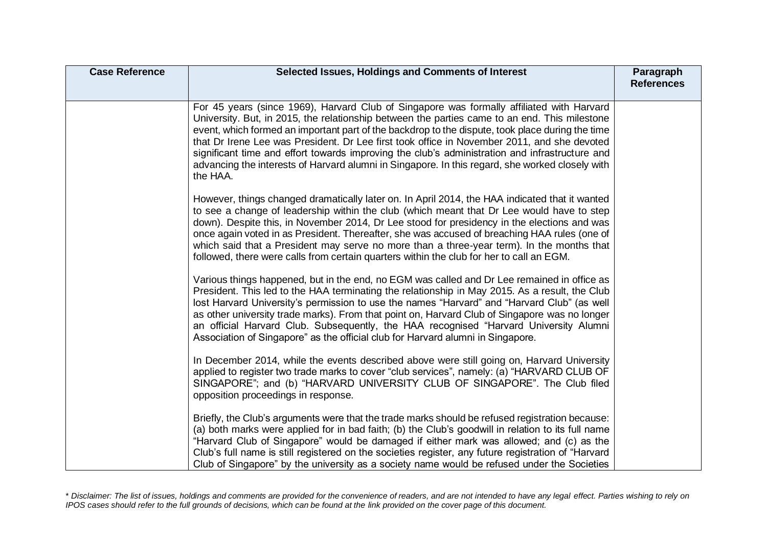| <b>Case Reference</b> | Selected Issues, Holdings and Comments of Interest                                                                                                                                                                                                                                                                                                                                                                                                                                                                                                                                                             | Paragraph<br><b>References</b> |
|-----------------------|----------------------------------------------------------------------------------------------------------------------------------------------------------------------------------------------------------------------------------------------------------------------------------------------------------------------------------------------------------------------------------------------------------------------------------------------------------------------------------------------------------------------------------------------------------------------------------------------------------------|--------------------------------|
|                       | For 45 years (since 1969), Harvard Club of Singapore was formally affiliated with Harvard<br>University. But, in 2015, the relationship between the parties came to an end. This milestone<br>event, which formed an important part of the backdrop to the dispute, took place during the time<br>that Dr Irene Lee was President. Dr Lee first took office in November 2011, and she devoted<br>significant time and effort towards improving the club's administration and infrastructure and<br>advancing the interests of Harvard alumni in Singapore. In this regard, she worked closely with<br>the HAA. |                                |
|                       | However, things changed dramatically later on. In April 2014, the HAA indicated that it wanted<br>to see a change of leadership within the club (which meant that Dr Lee would have to step<br>down). Despite this, in November 2014, Dr Lee stood for presidency in the elections and was<br>once again voted in as President. Thereafter, she was accused of breaching HAA rules (one of<br>which said that a President may serve no more than a three-year term). In the months that<br>followed, there were calls from certain quarters within the club for her to call an EGM.                            |                                |
|                       | Various things happened, but in the end, no EGM was called and Dr Lee remained in office as<br>President. This led to the HAA terminating the relationship in May 2015. As a result, the Club<br>lost Harvard University's permission to use the names "Harvard" and "Harvard Club" (as well<br>as other university trade marks). From that point on, Harvard Club of Singapore was no longer<br>an official Harvard Club. Subsequently, the HAA recognised "Harvard University Alumni<br>Association of Singapore" as the official club for Harvard alumni in Singapore.                                      |                                |
|                       | In December 2014, while the events described above were still going on, Harvard University<br>applied to register two trade marks to cover "club services", namely: (a) "HARVARD CLUB OF<br>SINGAPORE"; and (b) "HARVARD UNIVERSITY CLUB OF SINGAPORE". The Club filed<br>opposition proceedings in response.                                                                                                                                                                                                                                                                                                  |                                |
|                       | Briefly, the Club's arguments were that the trade marks should be refused registration because:<br>(a) both marks were applied for in bad faith; (b) the Club's goodwill in relation to its full name<br>"Harvard Club of Singapore" would be damaged if either mark was allowed; and (c) as the<br>Club's full name is still registered on the societies register, any future registration of "Harvard<br>Club of Singapore" by the university as a society name would be refused under the Societies                                                                                                         |                                |

<sup>\*</sup> *Disclaimer: The list of issues, holdings and comments are provided for the convenience of readers, and are not intended to have any legal effect. Parties wishing to rely on IPOS cases should refer to the full grounds of decisions, which can be found at the link provided on the cover page of this document.*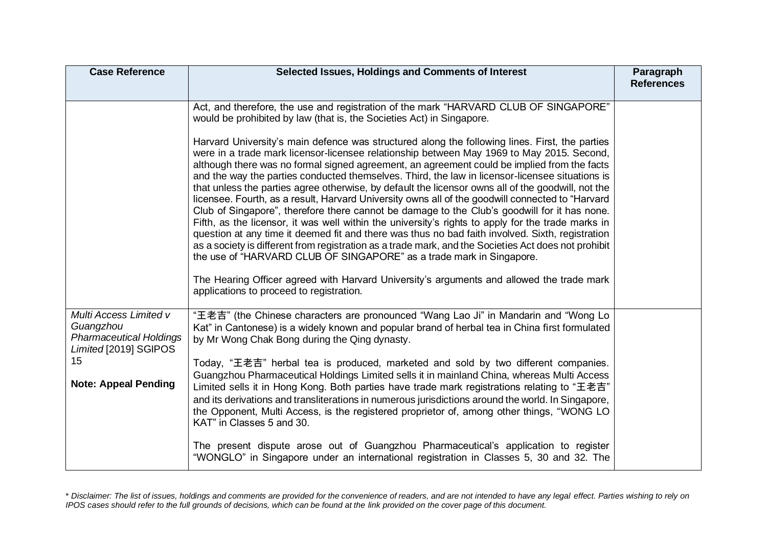| <b>Case Reference</b>                                                                                                               | Selected Issues, Holdings and Comments of Interest                                                                                                                                                                                                                                                                                                                                                                                                                                                                                                                                                                                                                                                                                                                                                                                                                                                                                                                                                                                                                                                                                                                                                                                                                                                                                                                                                          | Paragraph<br><b>References</b> |
|-------------------------------------------------------------------------------------------------------------------------------------|-------------------------------------------------------------------------------------------------------------------------------------------------------------------------------------------------------------------------------------------------------------------------------------------------------------------------------------------------------------------------------------------------------------------------------------------------------------------------------------------------------------------------------------------------------------------------------------------------------------------------------------------------------------------------------------------------------------------------------------------------------------------------------------------------------------------------------------------------------------------------------------------------------------------------------------------------------------------------------------------------------------------------------------------------------------------------------------------------------------------------------------------------------------------------------------------------------------------------------------------------------------------------------------------------------------------------------------------------------------------------------------------------------------|--------------------------------|
|                                                                                                                                     | Act, and therefore, the use and registration of the mark "HARVARD CLUB OF SINGAPORE"<br>would be prohibited by law (that is, the Societies Act) in Singapore.<br>Harvard University's main defence was structured along the following lines. First, the parties<br>were in a trade mark licensor-licensee relationship between May 1969 to May 2015. Second,<br>although there was no formal signed agreement, an agreement could be implied from the facts<br>and the way the parties conducted themselves. Third, the law in licensor-licensee situations is<br>that unless the parties agree otherwise, by default the licensor owns all of the goodwill, not the<br>licensee. Fourth, as a result, Harvard University owns all of the goodwill connected to "Harvard<br>Club of Singapore", therefore there cannot be damage to the Club's goodwill for it has none.<br>Fifth, as the licensor, it was well within the university's rights to apply for the trade marks in<br>question at any time it deemed fit and there was thus no bad faith involved. Sixth, registration<br>as a society is different from registration as a trade mark, and the Societies Act does not prohibit<br>the use of "HARVARD CLUB OF SINGAPORE" as a trade mark in Singapore.<br>The Hearing Officer agreed with Harvard University's arguments and allowed the trade mark<br>applications to proceed to registration. |                                |
| Multi Access Limited v<br>Guangzhou<br><b>Pharmaceutical Holdings</b><br>Limited [2019] SGIPOS<br>15<br><b>Note: Appeal Pending</b> | "王老吉" (the Chinese characters are pronounced "Wang Lao Ji" in Mandarin and "Wong Lo<br>Kat" in Cantonese) is a widely known and popular brand of herbal tea in China first formulated<br>by Mr Wong Chak Bong during the Qing dynasty.<br>Today, "王老吉" herbal tea is produced, marketed and sold by two different companies.<br>Guangzhou Pharmaceutical Holdings Limited sells it in mainland China, whereas Multi Access<br>Limited sells it in Hong Kong. Both parties have trade mark registrations relating to "王老吉"<br>and its derivations and transliterations in numerous jurisdictions around the world. In Singapore,<br>the Opponent, Multi Access, is the registered proprietor of, among other things, "WONG LO<br>KAT" in Classes 5 and 30.<br>The present dispute arose out of Guangzhou Pharmaceutical's application to register<br>"WONGLO" in Singapore under an international registration in Classes 5, 30 and 32. The                                                                                                                                                                                                                                                                                                                                                                                                                                                                  |                                |

<sup>\*</sup> *Disclaimer: The list of issues, holdings and comments are provided for the convenience of readers, and are not intended to have any legal effect. Parties wishing to rely on IPOS cases should refer to the full grounds of decisions, which can be found at the link provided on the cover page of this document.*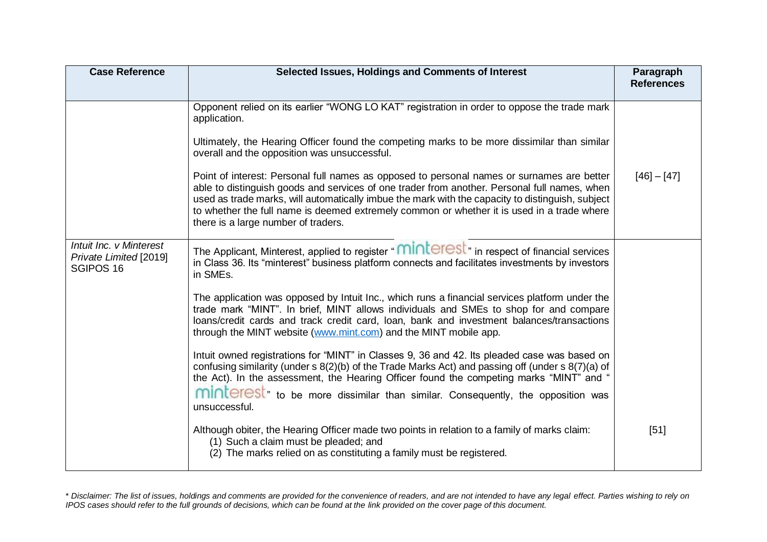| <b>Case Reference</b>                                          | Selected Issues, Holdings and Comments of Interest                                                                                                                                                                                                                                                                                                                                                                                                                                                                                                                                                                                                                                                                                                                                                                                                                                                                                                                                                                                                                                                                                                                                                      | Paragraph<br><b>References</b> |
|----------------------------------------------------------------|---------------------------------------------------------------------------------------------------------------------------------------------------------------------------------------------------------------------------------------------------------------------------------------------------------------------------------------------------------------------------------------------------------------------------------------------------------------------------------------------------------------------------------------------------------------------------------------------------------------------------------------------------------------------------------------------------------------------------------------------------------------------------------------------------------------------------------------------------------------------------------------------------------------------------------------------------------------------------------------------------------------------------------------------------------------------------------------------------------------------------------------------------------------------------------------------------------|--------------------------------|
|                                                                | Opponent relied on its earlier "WONG LO KAT" registration in order to oppose the trade mark<br>application.<br>Ultimately, the Hearing Officer found the competing marks to be more dissimilar than similar<br>overall and the opposition was unsuccessful.<br>Point of interest: Personal full names as opposed to personal names or surnames are better<br>able to distinguish goods and services of one trader from another. Personal full names, when<br>used as trade marks, will automatically imbue the mark with the capacity to distinguish, subject<br>to whether the full name is deemed extremely common or whether it is used in a trade where<br>there is a large number of traders.                                                                                                                                                                                                                                                                                                                                                                                                                                                                                                      | $[46] - [47]$                  |
| Intuit Inc. v Minterest<br>Private Limited [2019]<br>SGIPOS 16 | The Applicant, Minterest, applied to register "MINLEFESL" in respect of financial services<br>in Class 36. Its "minterest" business platform connects and facilitates investments by investors<br>in SMEs.<br>The application was opposed by Intuit Inc., which runs a financial services platform under the<br>trade mark "MINT". In brief, MINT allows individuals and SMEs to shop for and compare<br>loans/credit cards and track credit card, loan, bank and investment balances/transactions<br>through the MINT website (www.mint.com) and the MINT mobile app.<br>Intuit owned registrations for "MINT" in Classes 9, 36 and 42. Its pleaded case was based on<br>confusing similarity (under s 8(2)(b) of the Trade Marks Act) and passing off (under s 8(7)(a) of<br>the Act). In the assessment, the Hearing Officer found the competing marks "MINT" and "<br>minterest <sup>"</sup> to be more dissimilar than similar. Consequently, the opposition was<br>unsuccessful.<br>Although obiter, the Hearing Officer made two points in relation to a family of marks claim:<br>(1) Such a claim must be pleaded; and<br>(2) The marks relied on as constituting a family must be registered. | $[51]$                         |

<sup>\*</sup> *Disclaimer: The list of issues, holdings and comments are provided for the convenience of readers, and are not intended to have any legal effect. Parties wishing to rely on IPOS cases should refer to the full grounds of decisions, which can be found at the link provided on the cover page of this document.*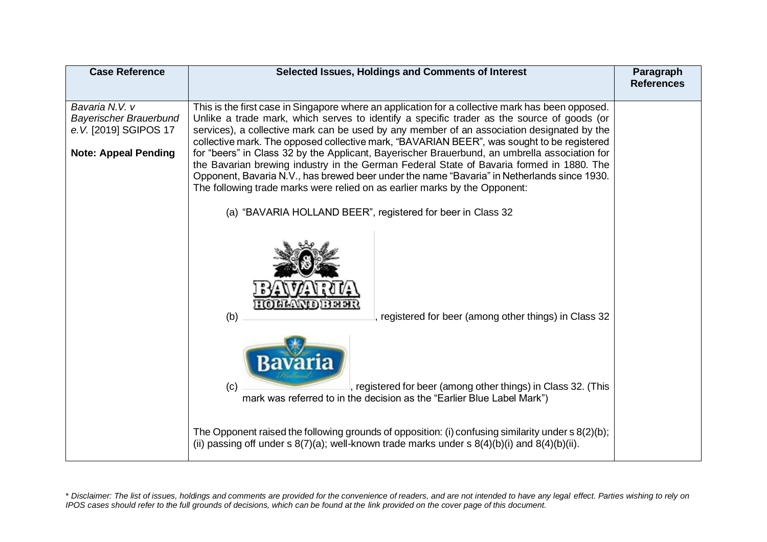| <b>Case Reference</b>                                                     | Selected Issues, Holdings and Comments of Interest                                                                                                                                                                                                                                                                                                                                         | Paragraph<br><b>References</b> |
|---------------------------------------------------------------------------|--------------------------------------------------------------------------------------------------------------------------------------------------------------------------------------------------------------------------------------------------------------------------------------------------------------------------------------------------------------------------------------------|--------------------------------|
| Bavaria N.V. v<br><b>Bayerischer Brauerbund</b><br>e. V. [2019] SGIPOS 17 | This is the first case in Singapore where an application for a collective mark has been opposed.<br>Unlike a trade mark, which serves to identify a specific trader as the source of goods (or<br>services), a collective mark can be used by any member of an association designated by the<br>collective mark. The opposed collective mark, "BAVARIAN BEER", was sought to be registered |                                |
| <b>Note: Appeal Pending</b>                                               | for "beers" in Class 32 by the Applicant, Bayerischer Brauerbund, an umbrella association for<br>the Bavarian brewing industry in the German Federal State of Bavaria formed in 1880. The<br>Opponent, Bavaria N.V., has brewed beer under the name "Bavaria" in Netherlands since 1930.<br>The following trade marks were relied on as earlier marks by the Opponent:                     |                                |
|                                                                           | (a) "BAVARIA HOLLAND BEER", registered for beer in Class 32                                                                                                                                                                                                                                                                                                                                |                                |
|                                                                           | : (0) [3] [3] L'ON [1]<br>(b)<br>registered for beer (among other things) in Class 32                                                                                                                                                                                                                                                                                                      |                                |
|                                                                           | (c)<br>, registered for beer (among other things) in Class 32. (This<br>mark was referred to in the decision as the "Earlier Blue Label Mark")                                                                                                                                                                                                                                             |                                |
|                                                                           | The Opponent raised the following grounds of opposition: (i) confusing similarity under $s(2)(b)$ ;                                                                                                                                                                                                                                                                                        |                                |
|                                                                           | (ii) passing off under s $8(7)(a)$ ; well-known trade marks under s $8(4)(b)(i)$ and $8(4)(b)(ii)$ .                                                                                                                                                                                                                                                                                       |                                |

<sup>\*</sup> *Disclaimer: The list of issues, holdings and comments are provided for the convenience of readers, and are not intended to have any legal effect. Parties wishing to rely on IPOS cases should refer to the full grounds of decisions, which can be found at the link provided on the cover page of this document.*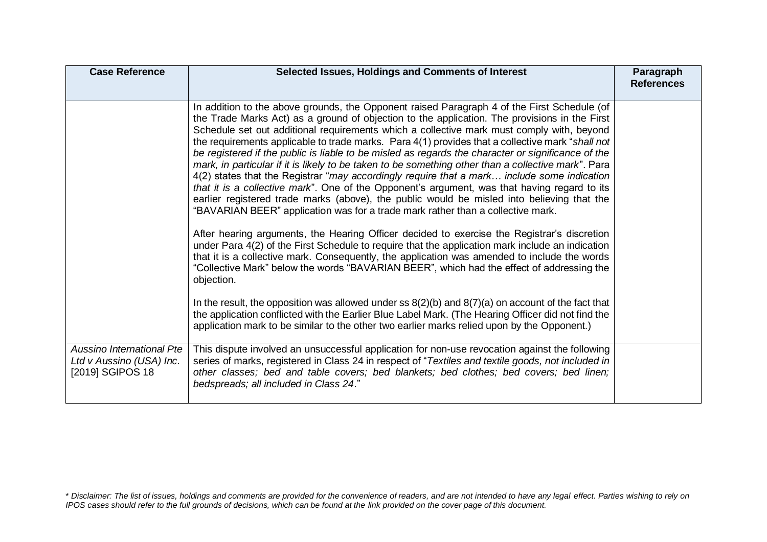| <b>Case Reference</b>                                                     | Selected Issues, Holdings and Comments of Interest                                                                                                                                                                                                                                                                                                                                                                                                                                                                                                                                                                                                                                                                                                                                                                                                                                                                                                                                                                                                                                                                                                                                                                                                                                                                                                                                                                                                                                                                                                                                                                                                                                                                      | Paragraph<br><b>References</b> |
|---------------------------------------------------------------------------|-------------------------------------------------------------------------------------------------------------------------------------------------------------------------------------------------------------------------------------------------------------------------------------------------------------------------------------------------------------------------------------------------------------------------------------------------------------------------------------------------------------------------------------------------------------------------------------------------------------------------------------------------------------------------------------------------------------------------------------------------------------------------------------------------------------------------------------------------------------------------------------------------------------------------------------------------------------------------------------------------------------------------------------------------------------------------------------------------------------------------------------------------------------------------------------------------------------------------------------------------------------------------------------------------------------------------------------------------------------------------------------------------------------------------------------------------------------------------------------------------------------------------------------------------------------------------------------------------------------------------------------------------------------------------------------------------------------------------|--------------------------------|
|                                                                           | In addition to the above grounds, the Opponent raised Paragraph 4 of the First Schedule (of<br>the Trade Marks Act) as a ground of objection to the application. The provisions in the First<br>Schedule set out additional requirements which a collective mark must comply with, beyond<br>the requirements applicable to trade marks. Para 4(1) provides that a collective mark "shall not<br>be registered if the public is liable to be misled as regards the character or significance of the<br>mark, in particular if it is likely to be taken to be something other than a collective mark". Para<br>4(2) states that the Registrar "may accordingly require that a mark include some indication<br>that it is a collective mark". One of the Opponent's argument, was that having regard to its<br>earlier registered trade marks (above), the public would be misled into believing that the<br>"BAVARIAN BEER" application was for a trade mark rather than a collective mark.<br>After hearing arguments, the Hearing Officer decided to exercise the Registrar's discretion<br>under Para 4(2) of the First Schedule to require that the application mark include an indication<br>that it is a collective mark. Consequently, the application was amended to include the words<br>"Collective Mark" below the words "BAVARIAN BEER", which had the effect of addressing the<br>objection.<br>In the result, the opposition was allowed under ss $8(2)(b)$ and $8(7)(a)$ on account of the fact that<br>the application conflicted with the Earlier Blue Label Mark. (The Hearing Officer did not find the<br>application mark to be similar to the other two earlier marks relied upon by the Opponent.) |                                |
| Aussino International Pte<br>Ltd v Aussino (USA) Inc.<br>[2019] SGIPOS 18 | This dispute involved an unsuccessful application for non-use revocation against the following<br>series of marks, registered in Class 24 in respect of "Textiles and textile goods, not included in<br>other classes; bed and table covers; bed blankets; bed clothes; bed covers; bed linen;<br>bedspreads; all included in Class 24."                                                                                                                                                                                                                                                                                                                                                                                                                                                                                                                                                                                                                                                                                                                                                                                                                                                                                                                                                                                                                                                                                                                                                                                                                                                                                                                                                                                |                                |

<sup>\*</sup> *Disclaimer: The list of issues, holdings and comments are provided for the convenience of readers, and are not intended to have any legal effect. Parties wishing to rely on IPOS cases should refer to the full grounds of decisions, which can be found at the link provided on the cover page of this document.*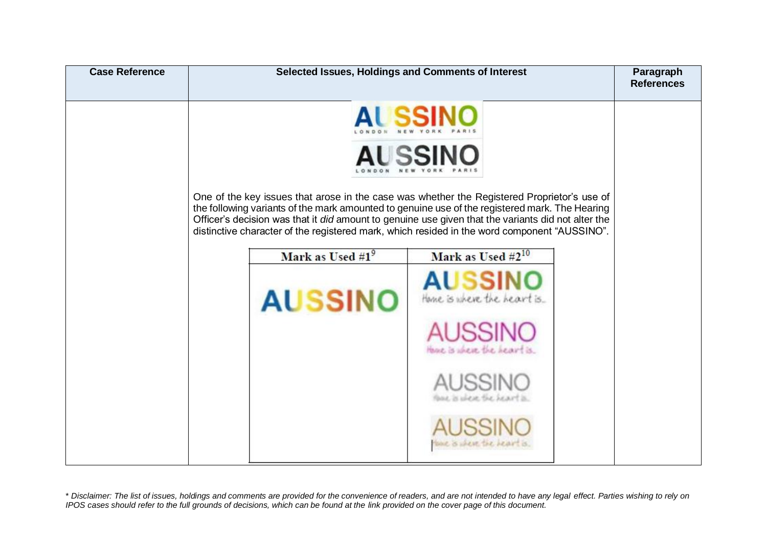| <b>Case Reference</b> | Selected Issues, Holdings and Comments of Interest                                                                                                                                                                                                                                                                                                                                                                                        |                                                                                                                                                                                      | Paragraph<br><b>References</b> |
|-----------------------|-------------------------------------------------------------------------------------------------------------------------------------------------------------------------------------------------------------------------------------------------------------------------------------------------------------------------------------------------------------------------------------------------------------------------------------------|--------------------------------------------------------------------------------------------------------------------------------------------------------------------------------------|--------------------------------|
|                       | One of the key issues that arose in the case was whether the Registered Proprietor's use of<br>the following variants of the mark amounted to genuine use of the registered mark. The Hearing<br>Officer's decision was that it did amount to genuine use given that the variants did not alter the<br>distinctive character of the registered mark, which resided in the word component "AUSSINO".<br>Mark as Used #19<br><b>AUSSINO</b> | <b>ALSSINO</b><br><b>AUSSINO</b><br>Mark as Used #210<br><b>AUSSIN</b><br>Home is where the heart is.<br>Hear is where the heart is.<br>URB THE REALT IS.<br>SOL O WERE THE HEAPT OF |                                |
|                       |                                                                                                                                                                                                                                                                                                                                                                                                                                           |                                                                                                                                                                                      |                                |